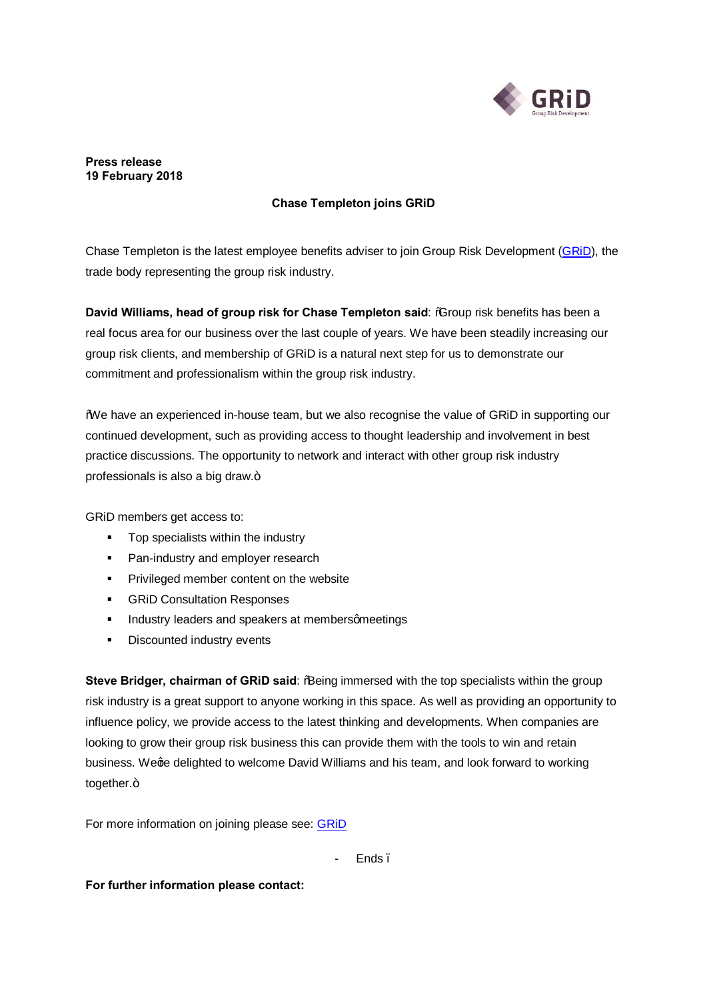

#### **Press release 19 February 2018**

# **Chase Templeton joins GRiD**

Chase Templeton is the latest employee benefits adviser to join Group Risk Development (GRID), the trade body representing the group risk industry.

**David Williams, head of group risk for Chase Templeton said**: "Group risk benefits has been a real focus area for our business over the last couple of years. We have been steadily increasing our group risk clients, and membership of GRiD is a natural next step for us to demonstrate our commitment and professionalism within the group risk industry.

"We have an experienced in-house team, but we also recognise the value of GRiD in supporting our continued development, such as providing access to thought leadership and involvement in best practice discussions. The opportunity to network and interact with other group risk industry professionals is also a big draw.+

GRiD members get access to:

- **Top specialists within the industry**
- **•** Pan-industry and employer research
- **•** Privileged member content on the website
- **GRiD Consultation Responses**
- **EXECUTE:** Industry leaders and speakers at membersomeetings
- ß Discounted industry events

**Steve Bridger, chairman of GRiD said: % Being immersed with the top specialists within the group** risk industry is a great support to anyone working in this space. As well as providing an opportunity to influence policy, we provide access to the latest thinking and developments. When companies are looking to grow their group risk business this can provide them with the tools to win and retain business. We ge delighted to welcome David Williams and his team, and look forward to working together.+

For more information on joining please see: [GRiD](https://grouprisk.org.uk/)

Ends.

**For further information please contact:**